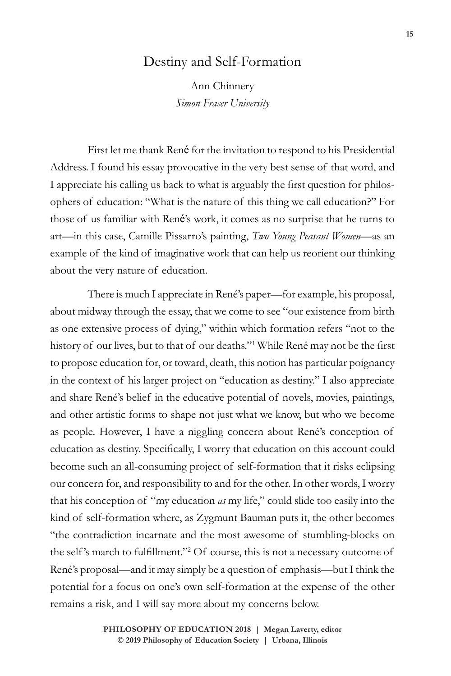## Destiny and Self-Formation

Ann Chinnery *Simon Fraser University*

First let me thank René for the invitation to respond to his Presidential Address. I found his essay provocative in the very best sense of that word, and I appreciate his calling us back to what is arguably the first question for philosophers of education: "What is the nature of this thing we call education?" For those of us familiar with René's work, it comes as no surprise that he turns to art—in this case, Camille Pissarro's painting, *Two Young Peasant Women*—as an example of the kind of imaginative work that can help us reorient our thinking about the very nature of education.

There is much I appreciate in René's paper—for example, his proposal, about midway through the essay, that we come to see "our existence from birth as one extensive process of dying," within which formation refers "not to the history of our lives, but to that of our deaths."1 While René may not be the first to propose education for, or toward, death, this notion has particular poignancy in the context of his larger project on "education as destiny." I also appreciate and share René's belief in the educative potential of novels, movies, paintings, and other artistic forms to shape not just what we know, but who we become as people. However, I have a niggling concern about René's conception of education as destiny. Specifically, I worry that education on this account could become such an all-consuming project of self-formation that it risks eclipsing our concern for, and responsibility to and for the other. In other words, I worry that his conception of "my education *as* my life," could slide too easily into the kind of self-formation where, as Zygmunt Bauman puts it, the other becomes "the contradiction incarnate and the most awesome of stumbling-blocks on the self 's march to fulfillment."<sup>2</sup> Of course, this is not a necessary outcome of René's proposal—and it may simply be a question of emphasis—but I think the potential for a focus on one's own self-formation at the expense of the other remains a risk, and I will say more about my concerns below.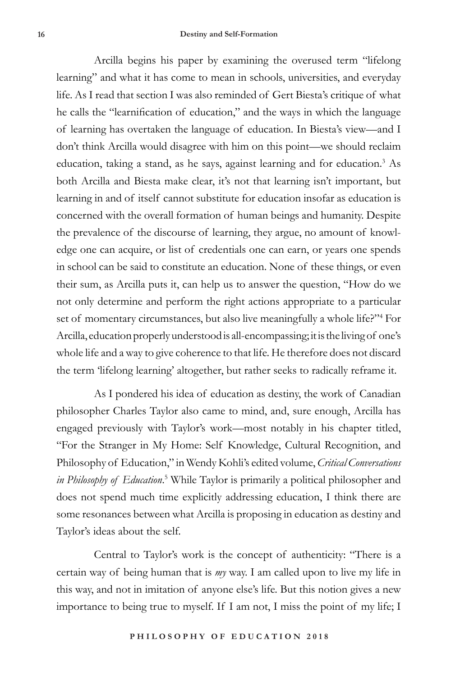Arcilla begins his paper by examining the overused term "lifelong learning" and what it has come to mean in schools, universities, and everyday life. As I read that section I was also reminded of Gert Biesta's critique of what he calls the "learnification of education," and the ways in which the language of learning has overtaken the language of education. In Biesta's view—and I don't think Arcilla would disagree with him on this point—we should reclaim education, taking a stand, as he says, against learning and for education.<sup>3</sup> As both Arcilla and Biesta make clear, it's not that learning isn't important, but learning in and of itself cannot substitute for education insofar as education is concerned with the overall formation of human beings and humanity. Despite the prevalence of the discourse of learning, they argue, no amount of knowledge one can acquire, or list of credentials one can earn, or years one spends in school can be said to constitute an education. None of these things, or even their sum, as Arcilla puts it, can help us to answer the question, "How do we not only determine and perform the right actions appropriate to a particular set of momentary circumstances, but also live meaningfully a whole life?"<sup>4</sup> For Arcilla, education properly understood is all-encompassing; it is the living of one's whole life and a way to give coherence to that life. He therefore does not discard the term 'lifelong learning' altogether, but rather seeks to radically reframe it.

As I pondered his idea of education as destiny, the work of Canadian philosopher Charles Taylor also came to mind, and, sure enough, Arcilla has engaged previously with Taylor's work—most notably in his chapter titled, "For the Stranger in My Home: Self Knowledge, Cultural Recognition, and Philosophy of Education," in Wendy Kohli's edited volume, *Critical Conversations in Philosophy of Education*. 5 While Taylor is primarily a political philosopher and does not spend much time explicitly addressing education, I think there are some resonances between what Arcilla is proposing in education as destiny and Taylor's ideas about the self.

Central to Taylor's work is the concept of authenticity: "There is a certain way of being human that is *my* way. I am called upon to live my life in this way, and not in imitation of anyone else's life. But this notion gives a new importance to being true to myself. If I am not, I miss the point of my life; I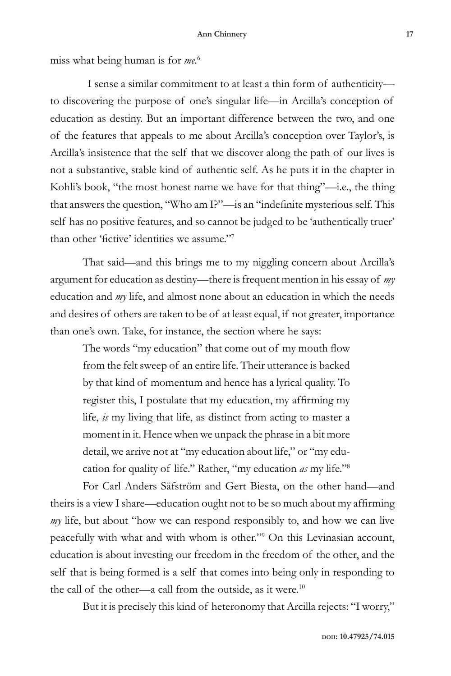## **Ann Chinnery 17**

miss what being human is for *me*. 6

I sense a similar commitment to at least a thin form of authenticity to discovering the purpose of one's singular life—in Arcilla's conception of education as destiny. But an important difference between the two, and one of the features that appeals to me about Arcilla's conception over Taylor's, is Arcilla's insistence that the self that we discover along the path of our lives is not a substantive, stable kind of authentic self. As he puts it in the chapter in Kohli's book, "the most honest name we have for that thing"—i.e., the thing that answers the question, "Who am I?"—is an "indefinite mysterious self. This self has no positive features, and so cannot be judged to be 'authentically truer' than other 'fictive' identities we assume."<sup>7</sup>

That said—and this brings me to my niggling concern about Arcilla's argument for education as destiny—there is frequent mention in his essay of *my* education and *my* life, and almost none about an education in which the needs and desires of others are taken to be of at least equal, if not greater, importance than one's own. Take, for instance, the section where he says:

The words "my education" that come out of my mouth flow from the felt sweep of an entire life. Their utterance is backed by that kind of momentum and hence has a lyrical quality. To register this, I postulate that my education, my affirming my life, *is* my living that life, as distinct from acting to master a moment in it. Hence when we unpack the phrase in a bit more detail, we arrive not at "my education about life," or "my education for quality of life." Rather, "my education *as* my life."8

For Carl Anders Säfström and Gert Biesta, on the other hand—and theirs is a view I share—education ought not to be so much about my affirming *my* life, but about "how we can respond responsibly to, and how we can live peacefully with what and with whom is other."9 On this Levinasian account, education is about investing our freedom in the freedom of the other, and the self that is being formed is a self that comes into being only in responding to the call of the other—a call from the outside, as it were.<sup>10</sup>

But it is precisely this kind of heteronomy that Arcilla rejects: "I worry,"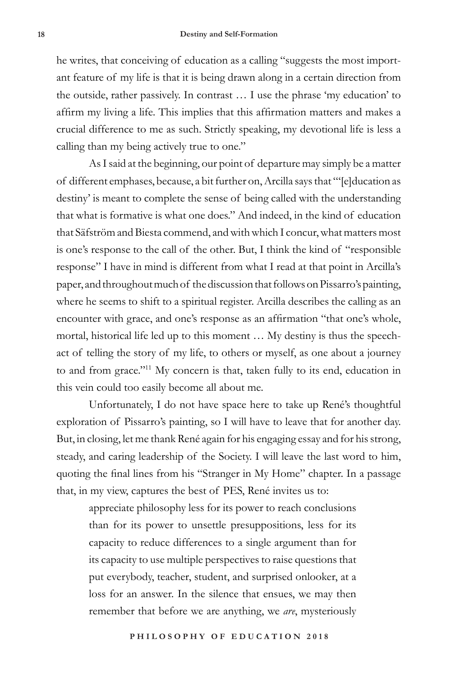he writes, that conceiving of education as a calling "suggests the most important feature of my life is that it is being drawn along in a certain direction from the outside, rather passively. In contrast … I use the phrase 'my education' to affirm my living a life. This implies that this affirmation matters and makes a crucial difference to me as such. Strictly speaking, my devotional life is less a calling than my being actively true to one."

As I said at the beginning, our point of departure may simply be a matter of different emphases, because, a bit further on, Arcilla says that "'[e]ducation as destiny' is meant to complete the sense of being called with the understanding that what is formative is what one does." And indeed, in the kind of education that Säfström and Biesta commend, and with which I concur, what matters most is one's response to the call of the other. But, I think the kind of "responsible response" I have in mind is different from what I read at that point in Arcilla's paper, and throughout much of the discussion that follows on Pissarro's painting, where he seems to shift to a spiritual register. Arcilla describes the calling as an encounter with grace, and one's response as an affirmation "that one's whole, mortal, historical life led up to this moment … My destiny is thus the speechact of telling the story of my life, to others or myself, as one about a journey to and from grace."11 My concern is that, taken fully to its end, education in this vein could too easily become all about me.

Unfortunately, I do not have space here to take up René's thoughtful exploration of Pissarro's painting, so I will have to leave that for another day. But, in closing, let me thank René again for his engaging essay and for his strong, steady, and caring leadership of the Society. I will leave the last word to him, quoting the final lines from his "Stranger in My Home" chapter. In a passage that, in my view, captures the best of PES, René invites us to:

appreciate philosophy less for its power to reach conclusions than for its power to unsettle presuppositions, less for its capacity to reduce differences to a single argument than for its capacity to use multiple perspectives to raise questions that put everybody, teacher, student, and surprised onlooker, at a loss for an answer. In the silence that ensues, we may then remember that before we are anything, we *are*, mysteriously